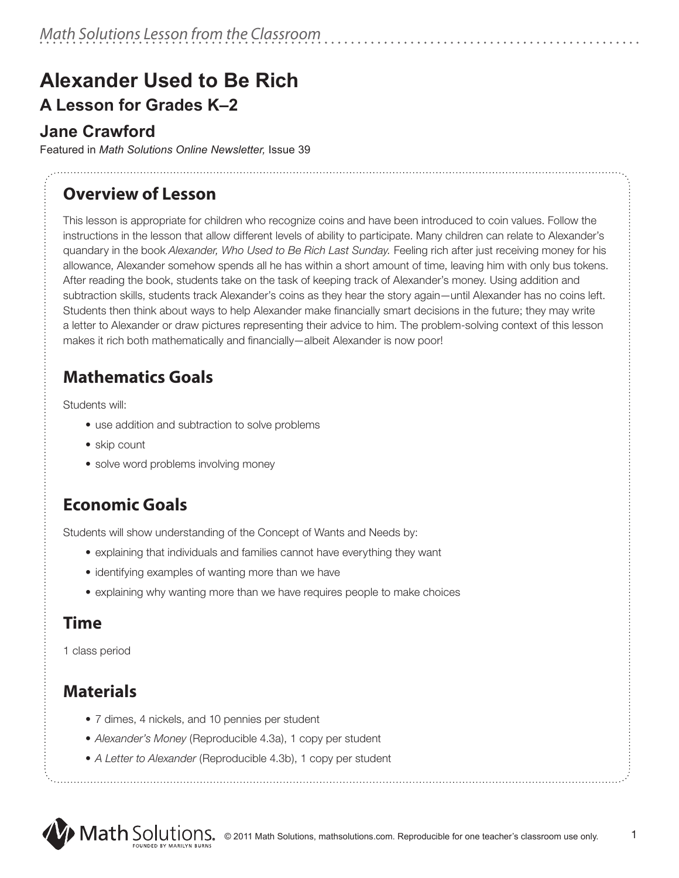# **Alexander Used to Be Rich A Lesson for Grades K–2**

### **Jane Crawford**

Featured in *Math Solutions Online Newsletter,* Issue 39

# **Overview of Lesson**

This lesson is appropriate for children who recognize coins and have been introduced to coin values. Follow the instructions in the lesson that allow different levels of ability to participate. Many children can relate to Alexander's quandary in the book *Alexander, Who Used to Be Rich Last Sunday.* Feeling rich after just receiving money for his allowance, Alexander somehow spends all he has within a short amount of time, leaving him with only bus tokens. After reading the book, students take on the task of keeping track of Alexander's money. Using addition and subtraction skills, students track Alexander's coins as they hear the story again—until Alexander has no coins left. Students then think about ways to help Alexander make financially smart decisions in the future; they may write a letter to Alexander or draw pictures representing their advice to him. The problem-solving context of this lesson makes it rich both mathematically and financially—albeit Alexander is now poor!

# **Mathematics Goals**

Students will:

- use addition and subtraction to solve problems
- skip count
- solve word problems involving money

## **Economic Goals**

Students will show understanding of the Concept of Wants and Needs by:

- explaining that individuals and families cannot have everything they want
- identifying examples of wanting more than we have
- explaining why wanting more than we have requires people to make choices

### **Time**

1 class period

# **Materials**

- 7 dimes, 4 nickels, and 10 pennies per student
- *Alexander's Money* (Reproducible 4.3a), 1 copy per student
- *A Letter to Alexander* (Reproducible 4.3b), 1 copy per student

1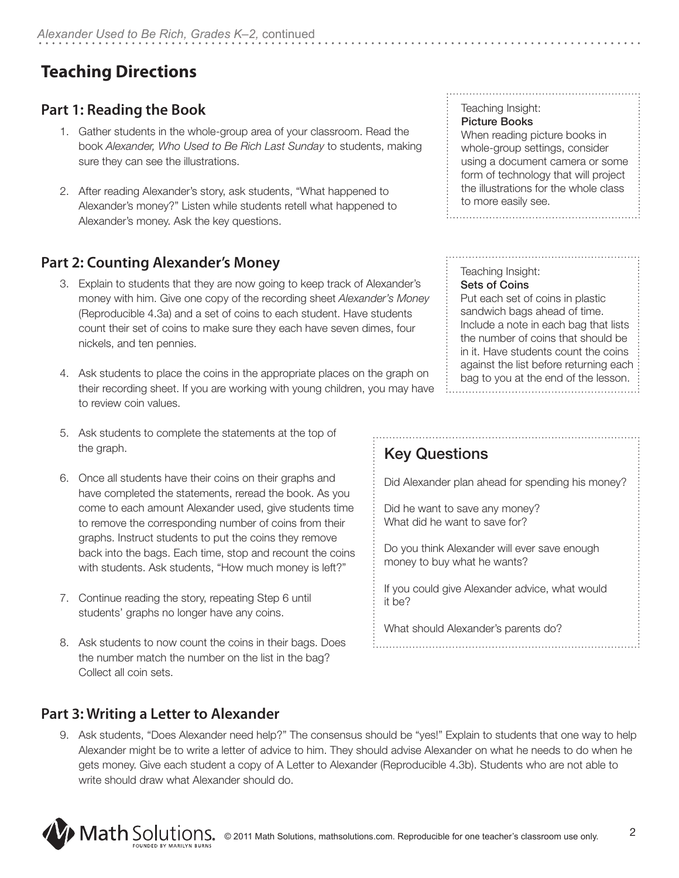# **Teaching Directions**

### **Part 1: Reading the Book**

- 1. Gather students in the whole-group area of your classroom. Read the book *Alexander, Who Used to Be Rich Last Sunday* to students, making sure they can see the illustrations.
- 2. After reading Alexander's story, ask students, "What happened to Alexander's money?" Listen while students retell what happened to Alexander's money. Ask the key questions.

### **Part 2: Counting Alexander's Money**

- 3. Explain to students that they are now going to keep track of Alexander's money with him. Give one copy of the recording sheet *Alexander's Money* (Reproducible 4.3a) and a set of coins to each student. Have students count their set of coins to make sure they each have seven dimes, four nickels, and ten pennies.
- 4. Ask students to place the coins in the appropriate places on the graph on their recording sheet. If you are working with young children, you may have to review coin values.
- 5. Ask students to complete the statements at the top of the graph.
- 6. Once all students have their coins on their graphs and have completed the statements, reread the book. As you come to each amount Alexander used, give students time to remove the corresponding number of coins from their graphs. Instruct students to put the coins they remove back into the bags. Each time, stop and recount the coins with students. Ask students, "How much money is left?"
- 7. Continue reading the story, repeating Step 6 until students' graphs no longer have any coins.
- 8. Ask students to now count the coins in their bags. Does the number match the number on the list in the bag? Collect all coin sets.

#### **Part 3: Writing a Letter to Alexander**

9. Ask students, "Does Alexander need help?" The consensus should be "yes!" Explain to students that one way to help Alexander might be to write a letter of advice to him. They should advise Alexander on what he needs to do when he gets money. Give each student a copy of A Letter to Alexander (Reproducible 4.3b). Students who are not able to write should draw what Alexander should do.



#### Teaching Insight: Picture Books

When reading picture books in whole-group settings, consider using a document camera or some form of technology that will project the illustrations for the whole class to more easily see. 

#### Teaching Insight: Sets of Coins

Put each set of coins in plastic sandwich bags ahead of time. Include a note in each bag that lists the number of coins that should be in it. Have students count the coins against the list before returning each bag to you at the end of the lesson.

## Key Questions

Did Alexander plan ahead for spending his money?

Did he want to save any money? What did he want to save for?

Do you think Alexander will ever save enough money to buy what he wants?

If you could give Alexander advice, what would it be?

2

What should Alexander's parents do?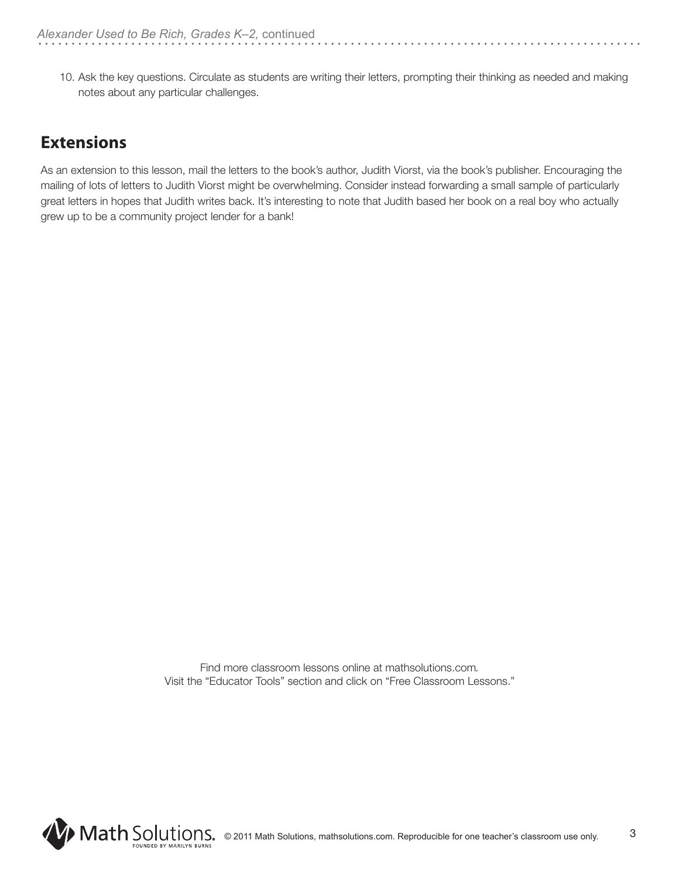10. Ask the key questions. Circulate as students are writing their letters, prompting their thinking as needed and making notes about any particular challenges.

### **Extensions**

As an extension to this lesson, mail the letters to the book's author, Judith Viorst, via the book's publisher. Encouraging the mailing of lots of letters to Judith Viorst might be overwhelming. Consider instead forwarding a small sample of particularly great letters in hopes that Judith writes back. It's interesting to note that Judith based her book on a real boy who actually grew up to be a community project lender for a bank!

> Find more classroom lessons online at mathsolutions.com*.*  Visit the "Educator Tools" section and click on "Free Classroom Lessons."